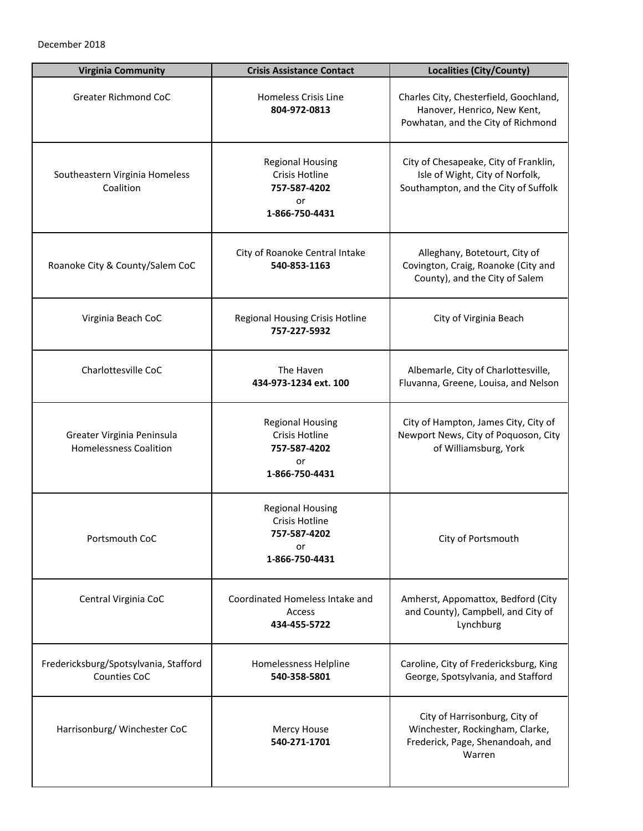| <b>Virginia Community</b>                                   | <b>Crisis Assistance Contact</b>                                                         | <b>Localities (City/County)</b>                                                                                  |
|-------------------------------------------------------------|------------------------------------------------------------------------------------------|------------------------------------------------------------------------------------------------------------------|
| <b>Greater Richmond CoC</b>                                 | Homeless Crisis Line<br>804-972-0813                                                     | Charles City, Chesterfield, Goochland,<br>Hanover, Henrico, New Kent,<br>Powhatan, and the City of Richmond      |
| Southeastern Virginia Homeless<br>Coalition                 | <b>Regional Housing</b><br>Crisis Hotline<br>757-587-4202<br>or<br>1-866-750-4431        | City of Chesapeake, City of Franklin,<br>Isle of Wight, City of Norfolk,<br>Southampton, and the City of Suffolk |
| Roanoke City & County/Salem CoC                             | City of Roanoke Central Intake<br>540-853-1163                                           | Alleghany, Botetourt, City of<br>Covington, Craig, Roanoke (City and<br>County), and the City of Salem           |
| Virginia Beach CoC                                          | <b>Regional Housing Crisis Hotline</b><br>757-227-5932                                   | City of Virginia Beach                                                                                           |
| Charlottesville CoC                                         | The Haven<br>434-973-1234 ext. 100                                                       | Albemarle, City of Charlottesville,<br>Fluvanna, Greene, Louisa, and Nelson                                      |
| Greater Virginia Peninsula<br><b>Homelessness Coalition</b> | <b>Regional Housing</b><br>Crisis Hotline<br>757-587-4202<br>or<br>1-866-750-4431        | City of Hampton, James City, City of<br>Newport News, City of Poquoson, City<br>of Williamsburg, York            |
| Portsmouth CoC                                              | <b>Regional Housing</b><br><b>Crisis Hotline</b><br>757-587-4202<br>or<br>1-866-750-4431 | City of Portsmouth                                                                                               |
| Central Virginia CoC                                        | Coordinated Homeless Intake and<br>Access<br>434-455-5722                                | Amherst, Appomattox, Bedford (City<br>and County), Campbell, and City of<br>Lynchburg                            |
| Fredericksburg/Spotsylvania, Stafford<br>Counties CoC       | Homelessness Helpline<br>540-358-5801                                                    | Caroline, City of Fredericksburg, King<br>George, Spotsylvania, and Stafford                                     |
| Harrisonburg/Winchester CoC                                 | Mercy House<br>540-271-1701                                                              | City of Harrisonburg, City of<br>Winchester, Rockingham, Clarke,<br>Frederick, Page, Shenandoah, and<br>Warren   |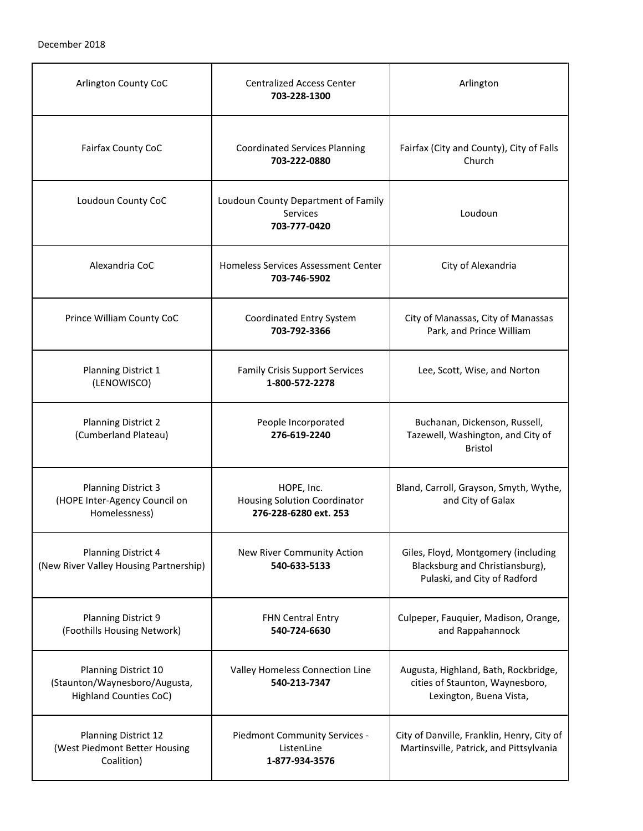| Arlington County CoC                                                                   | <b>Centralized Access Center</b><br>703-228-1300                           | Arlington                                                                                              |
|----------------------------------------------------------------------------------------|----------------------------------------------------------------------------|--------------------------------------------------------------------------------------------------------|
| Fairfax County CoC                                                                     | <b>Coordinated Services Planning</b><br>703-222-0880                       | Fairfax (City and County), City of Falls<br>Church                                                     |
| Loudoun County CoC                                                                     | Loudoun County Department of Family<br><b>Services</b><br>703-777-0420     | Loudoun                                                                                                |
| Alexandria CoC                                                                         | Homeless Services Assessment Center<br>703-746-5902                        | City of Alexandria                                                                                     |
| Prince William County CoC                                                              | Coordinated Entry System<br>703-792-3366                                   | City of Manassas, City of Manassas<br>Park, and Prince William                                         |
| Planning District 1<br>(LENOWISCO)                                                     | <b>Family Crisis Support Services</b><br>1-800-572-2278                    | Lee, Scott, Wise, and Norton                                                                           |
| <b>Planning District 2</b><br>(Cumberland Plateau)                                     | People Incorporated<br>276-619-2240                                        | Buchanan, Dickenson, Russell,<br>Tazewell, Washington, and City of<br><b>Bristol</b>                   |
| <b>Planning District 3</b><br>(HOPE Inter-Agency Council on<br>Homelessness)           | HOPE, Inc.<br><b>Housing Solution Coordinator</b><br>276-228-6280 ext. 253 | Bland, Carroll, Grayson, Smyth, Wythe,<br>and City of Galax                                            |
| Planning District 4<br>(New River Valley Housing Partnership)                          | New River Community Action<br>540-633-5133                                 | Giles, Floyd, Montgomery (including<br>Blacksburg and Christiansburg),<br>Pulaski, and City of Radford |
| <b>Planning District 9</b><br>(Foothills Housing Network)                              | <b>FHN Central Entry</b><br>540-724-6630                                   | Culpeper, Fauquier, Madison, Orange,<br>and Rappahannock                                               |
| Planning District 10<br>(Staunton/Waynesboro/Augusta,<br><b>Highland Counties CoC)</b> | Valley Homeless Connection Line<br>540-213-7347                            | Augusta, Highland, Bath, Rockbridge,<br>cities of Staunton, Waynesboro,<br>Lexington, Buena Vista,     |
| Planning District 12<br>(West Piedmont Better Housing<br>Coalition)                    | Piedmont Community Services -<br>ListenLine<br>1-877-934-3576              | City of Danville, Franklin, Henry, City of<br>Martinsville, Patrick, and Pittsylvania                  |